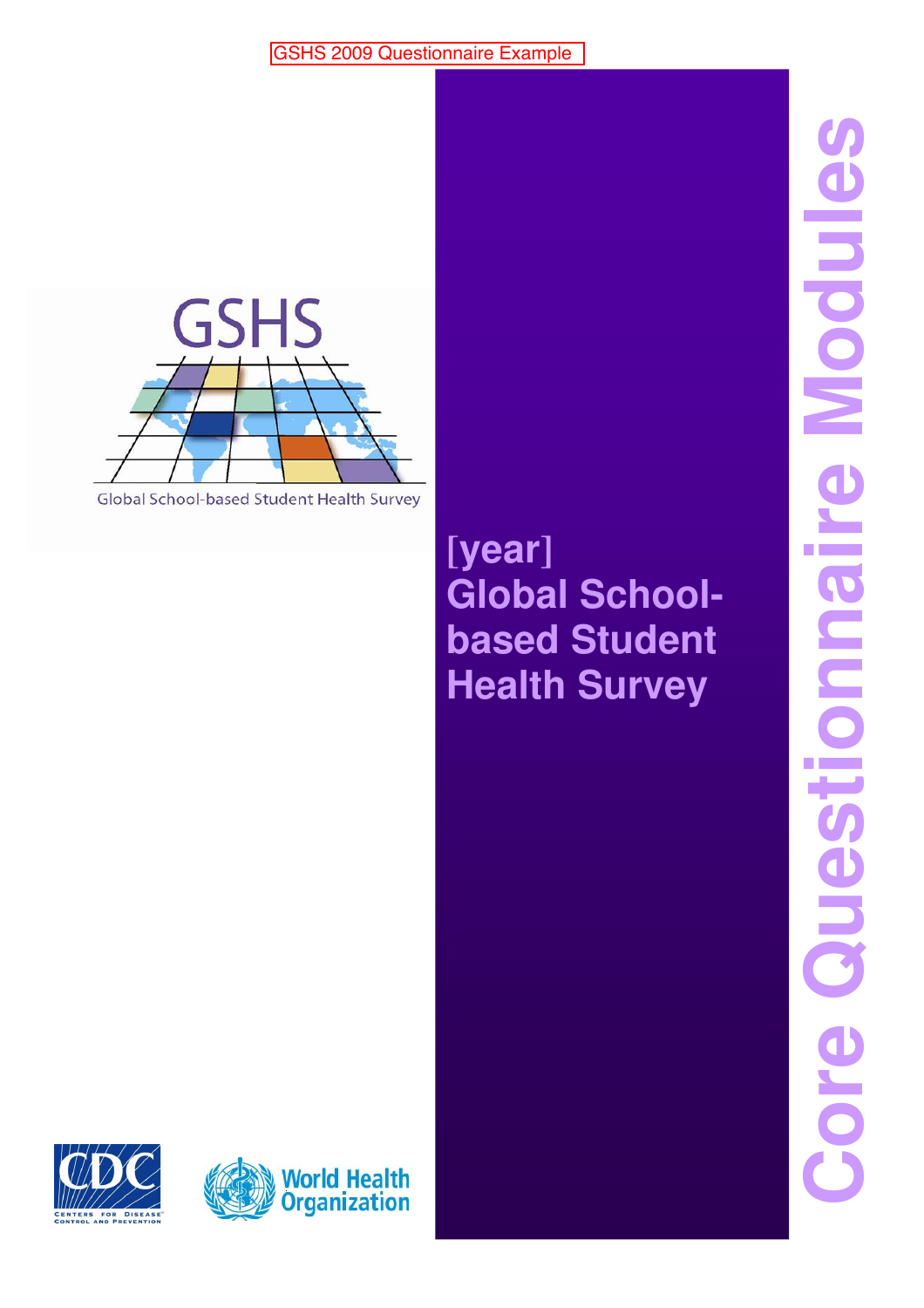

Global School-based Student Health Survey

# **[year] Global Schoolbased Student Health Survey**

**Core Questionnaire Modules** Core Questionnaire Modules



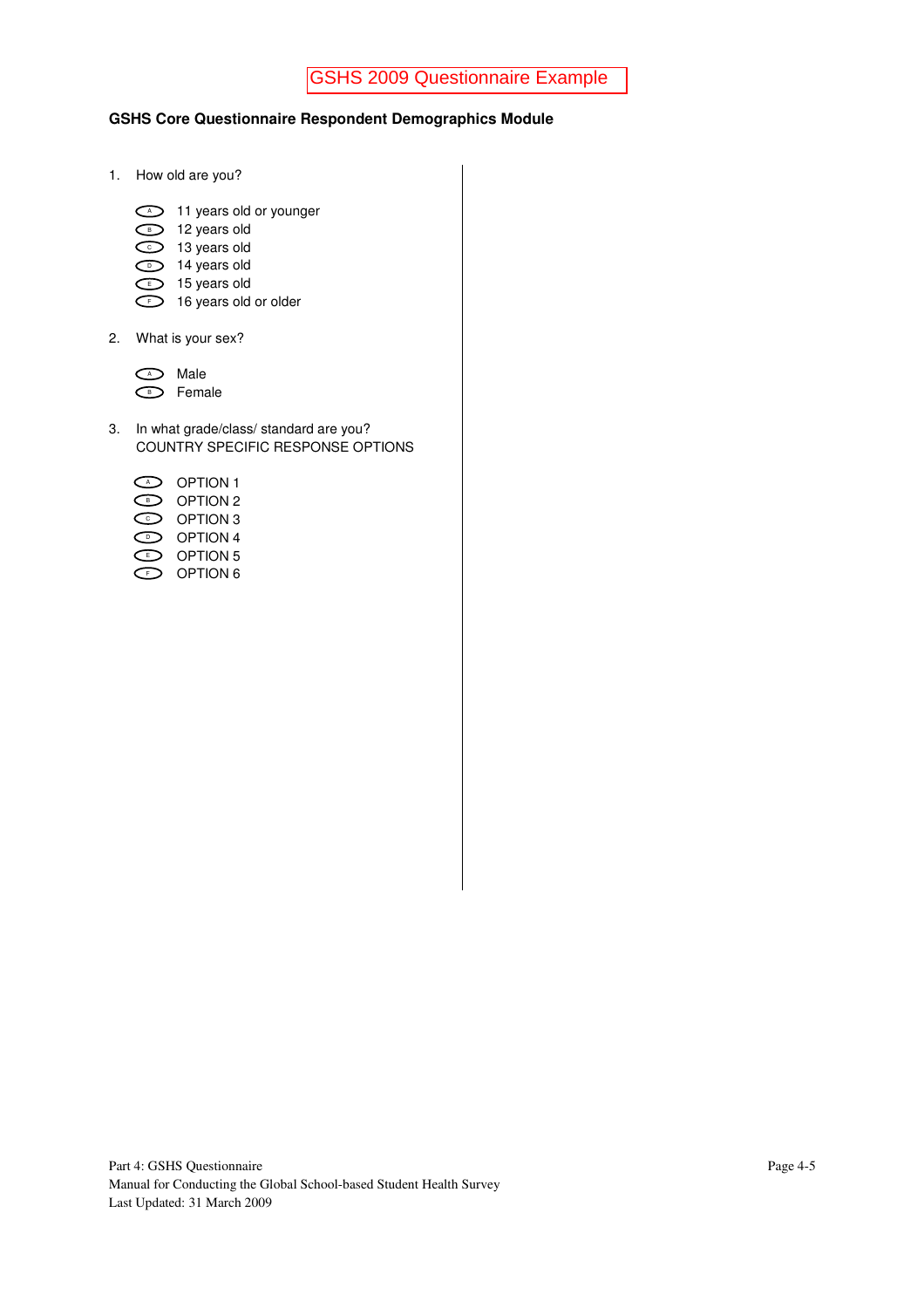#### **GSHS Core Questionnaire Respondent Demographics Module**

- 1. How old are you?
	- $\supset$  11 years old or younger
	- D 12 years old
	- 13 years old C
	- D 14 years old
	- $\supset$  15 years old
	- $\supset$  16 years old or older
- 2. What is your sex?

| Male   |
|--------|
| Female |

3. In what grade/class/ standard are you? COUNTRY SPECIFIC RESPONSE OPTIONS

| CAD   | <b>OPTION 1</b> |
|-------|-----------------|
| с в э | OPTION 2        |
| く○つ   | OPTION 3        |
| くり    | OPTION 4        |
| ⊂⊧⊃   | OPTION 5        |
| くょう   | OPTION 6        |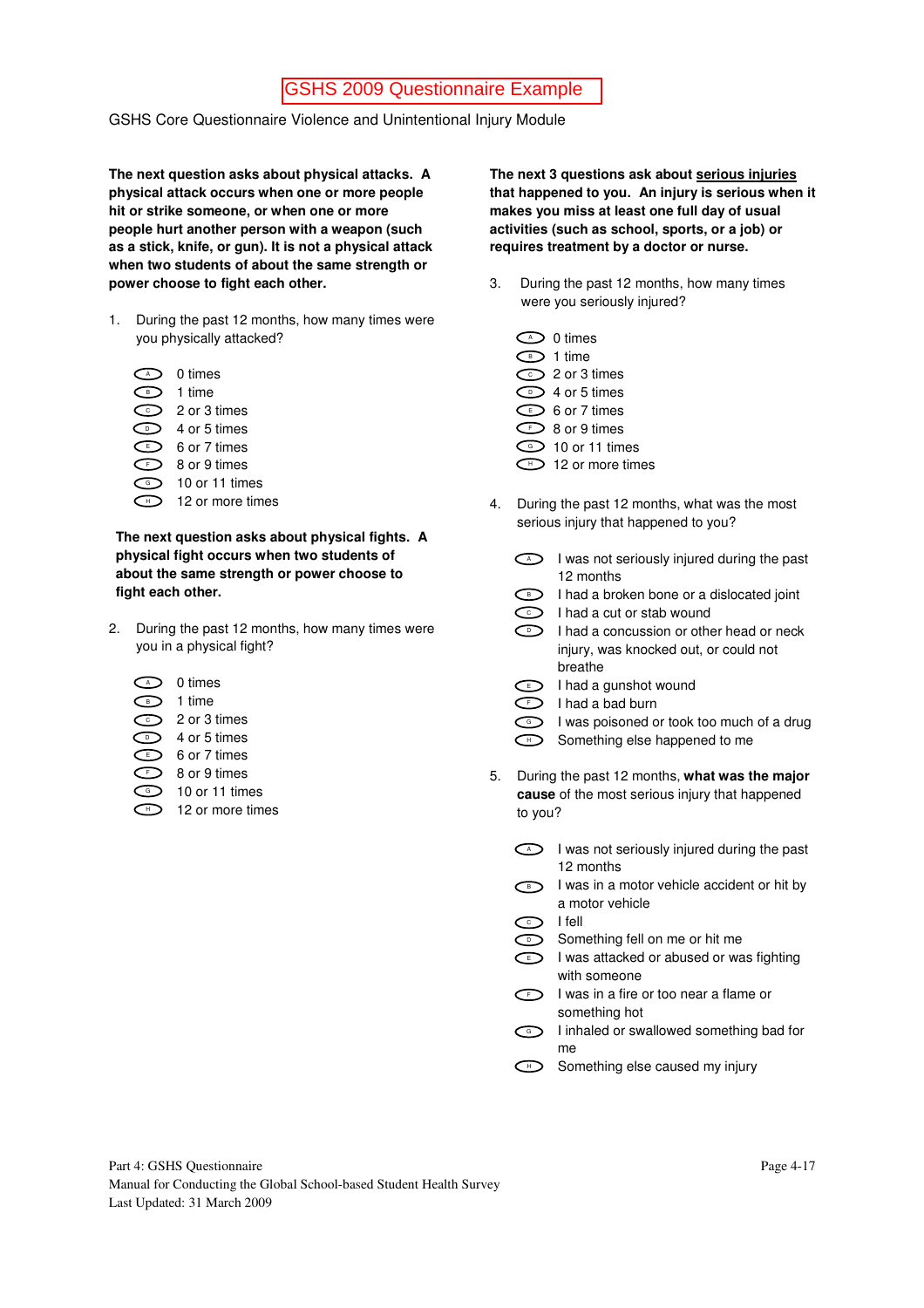GSHS Core Questionnaire Violence and Unintentional Injury Module

**The next question asks about physical attacks. A physical attack occurs when one or more people hit or strike someone, or when one or more people hurt another person with a weapon (such as a stick, knife, or gun). It is not a physical attack when two students of about the same strength or power choose to fight each other.** 

1. During the past 12 months, how many times were you physically attacked?

| A | 0 times          |
|---|------------------|
| B | 1 time           |
| Ċ | 2 or 3 times     |
| D | 4 or 5 times     |
| F | 6 or 7 times     |
|   | 8 or 9 times     |
| Ġ | 10 or 11 times   |
|   | 12 or more times |

**The next question asks about physical fights. A physical fight occurs when two students of about the same strength or power choose to fight each other.** 

2. During the past 12 months, how many times were you in a physical fight?

| A | 0 times        |
|---|----------------|
| B | 1 time         |
| Ċ | 2 or 3 times   |
| n | 4 or 5 times   |
| F | 6 or 7 times   |
|   | 8 or 9 times   |
| Ġ | 10 or 11 times |
|   |                |

 $\Box$  12 or more times

**The next 3 questions ask about serious injuries that happened to you. An injury is serious when it makes you miss at least one full day of usual activities (such as school, sports, or a job) or requires treatment by a doctor or nurse.** 

- 3. During the past 12 months, how many times were you seriously injured?
	- $\supset$  0 times  $\supset$  1 time  $\supset$  2 or 3 times  $\supset$  4 or 5 times  $\supset$  6 or 7 times  $\supset$  8 or 9 times  $\supset$  10 or 11 times
	- $\supset$  12 or more times
- 4. During the past 12 months, what was the most serious injury that happened to you?
	- $\triangleright$  I was not seriously injured during the past 12 months
	- $\supset$  I had a broken bone or a dislocated joint
	- $\supset$  I had a cut or stab wound
	- $\supset$  I had a concussion or other head or neck injury, was knocked out, or could not breathe
	- $\Box$  I had a gunshot wound
	- $\supset$  I had a bad burn
	- I was poisoned or took too much of a drug
	- Something else happened to me  $\bigoplus$
- 5. During the past 12 months, **what was the major cause** of the most serious injury that happened to you?
	- $\triangleright$  I was not seriously injured during the past 12 months
	- **D** I was in a motor vehicle accident or hit by a motor vehicle
	- $\supset$  I fell
		- **Something fell on me or hit me**
	- $\Box$  I was attacked or abused or was fighting with someone
	- $\supset$  I was in a fire or too near a flame or something hot
	- **I** linhaled or swallowed something bad for me
	- $\supset$  Something else caused my injury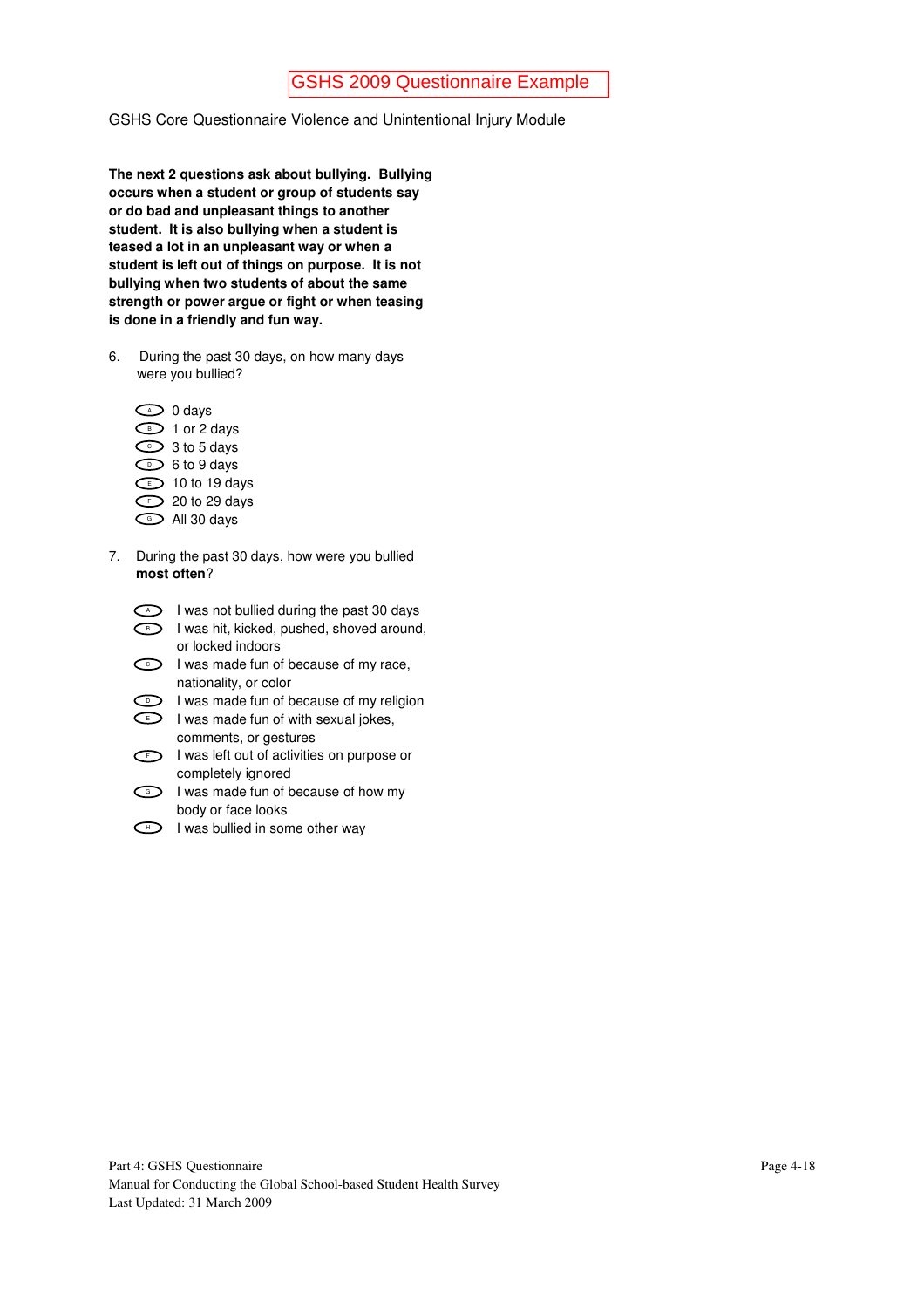GSHS Core Questionnaire Violence and Unintentional Injury Module

**The next 2 questions ask about bullying. Bullying occurs when a student or group of students say or do bad and unpleasant things to another student. It is also bullying when a student is teased a lot in an unpleasant way or when a student is left out of things on purpose. It is not bullying when two students of about the same strength or power argue or fight or when teasing is done in a friendly and fun way.** 

- 6. During the past 30 days, on how many days were you bullied?
	- $\supset$  0 days  $\supset$  1 or 2 days  $\supset$  3 to 5 days  $\supset$  6 to 9 days  $\supset$  10 to 19 days  $\supset$  20 to 29 days  $\supset$  All 30 days
- 7. During the past 30 days, how were you bullied **most often**?
	- $\triangleright$  I was not bullied during the past 30 days
	- **D** I was hit, kicked, pushed, shoved around, or locked indoors
	- $\supset$  I was made fun of because of my race, nationality, or color
	- $\supset$  I was made fun of because of my religion
	- $\supset$  I was made fun of with sexual jokes, comments, or gestures
	- $\supset$  I was left out of activities on purpose or completely ignored
	- I was made fun of because of how my body or face looks
	- $\Box$  I was bullied in some other way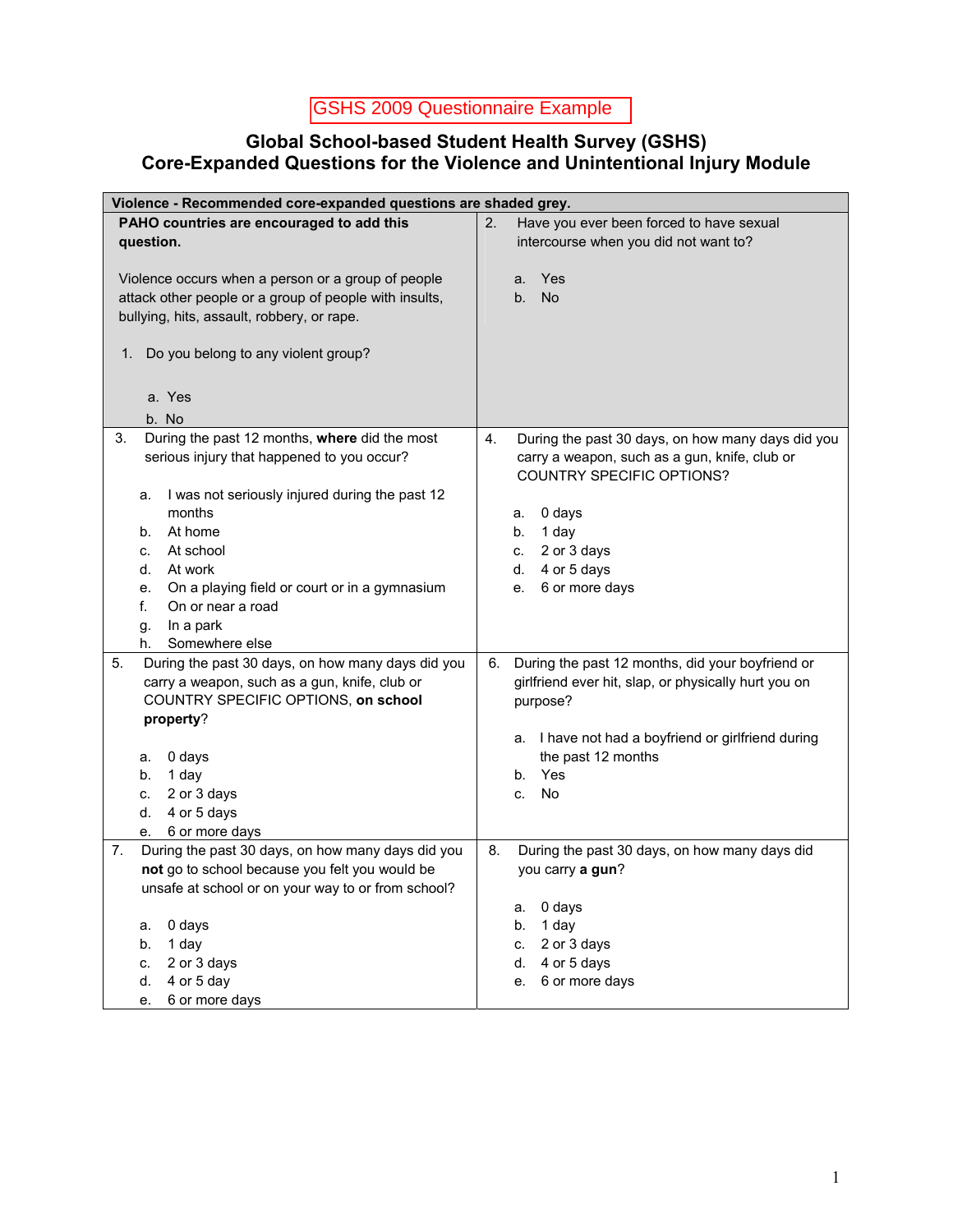## **Global School-based Student Health Survey (GSHS) Core-Expanded Questions for the Violence and Unintentional Injury Module**

| Violence - Recommended core-expanded questions are shaded grey.                                                                                                                                                                                                                                                                                       |                                                                                                                                                                                                                                               |  |
|-------------------------------------------------------------------------------------------------------------------------------------------------------------------------------------------------------------------------------------------------------------------------------------------------------------------------------------------------------|-----------------------------------------------------------------------------------------------------------------------------------------------------------------------------------------------------------------------------------------------|--|
| PAHO countries are encouraged to add this<br>question.<br>Violence occurs when a person or a group of people<br>attack other people or a group of people with insults,<br>bullying, hits, assault, robbery, or rape.<br>Do you belong to any violent group?<br>1.<br>a. Yes                                                                           | 2.<br>Have you ever been forced to have sexual<br>intercourse when you did not want to?<br>Yes<br>a.<br><b>No</b><br>b.                                                                                                                       |  |
| b. No                                                                                                                                                                                                                                                                                                                                                 |                                                                                                                                                                                                                                               |  |
| During the past 12 months, where did the most<br>3.<br>serious injury that happened to you occur?<br>I was not seriously injured during the past 12<br>a.<br>months<br>At home<br>b.<br>At school<br>C.<br>d.<br>At work<br>On a playing field or court or in a gymnasium<br>е.<br>f.<br>On or near a road<br>In a park<br>g.<br>Somewhere else<br>h. | 4.<br>During the past 30 days, on how many days did you<br>carry a weapon, such as a gun, knife, club or<br><b>COUNTRY SPECIFIC OPTIONS?</b><br>0 days<br>a.<br>1 day<br>b.<br>2 or 3 days<br>C.<br>4 or 5 days<br>d.<br>6 or more days<br>е. |  |
| During the past 30 days, on how many days did you<br>5.<br>carry a weapon, such as a gun, knife, club or<br>COUNTRY SPECIFIC OPTIONS, on school<br>property?<br>0 days<br>a.<br>1 day<br>b.<br>2 or 3 days<br>C.<br>d.<br>4 or 5 days<br>6 or more days<br>е.                                                                                         | During the past 12 months, did your boyfriend or<br>6.<br>girlfriend ever hit, slap, or physically hurt you on<br>purpose?<br>a. I have not had a boyfriend or girlfriend during<br>the past 12 months<br>Yes<br>b.<br><b>No</b><br>C.        |  |
| During the past 30 days, on how many days did you<br>7.<br>not go to school because you felt you would be<br>unsafe at school or on your way to or from school?<br>0 days<br>a.<br>1 day<br>b.<br>2 or 3 days<br>C.<br>4 or 5 day<br>d.<br>6 or more days<br>е.                                                                                       | 8.<br>During the past 30 days, on how many days did<br>you carry a gun?<br>0 days<br>a.<br>1 day<br>b.<br>2 or 3 days<br>C.<br>4 or 5 days<br>d.<br>6 or more days<br>е.                                                                      |  |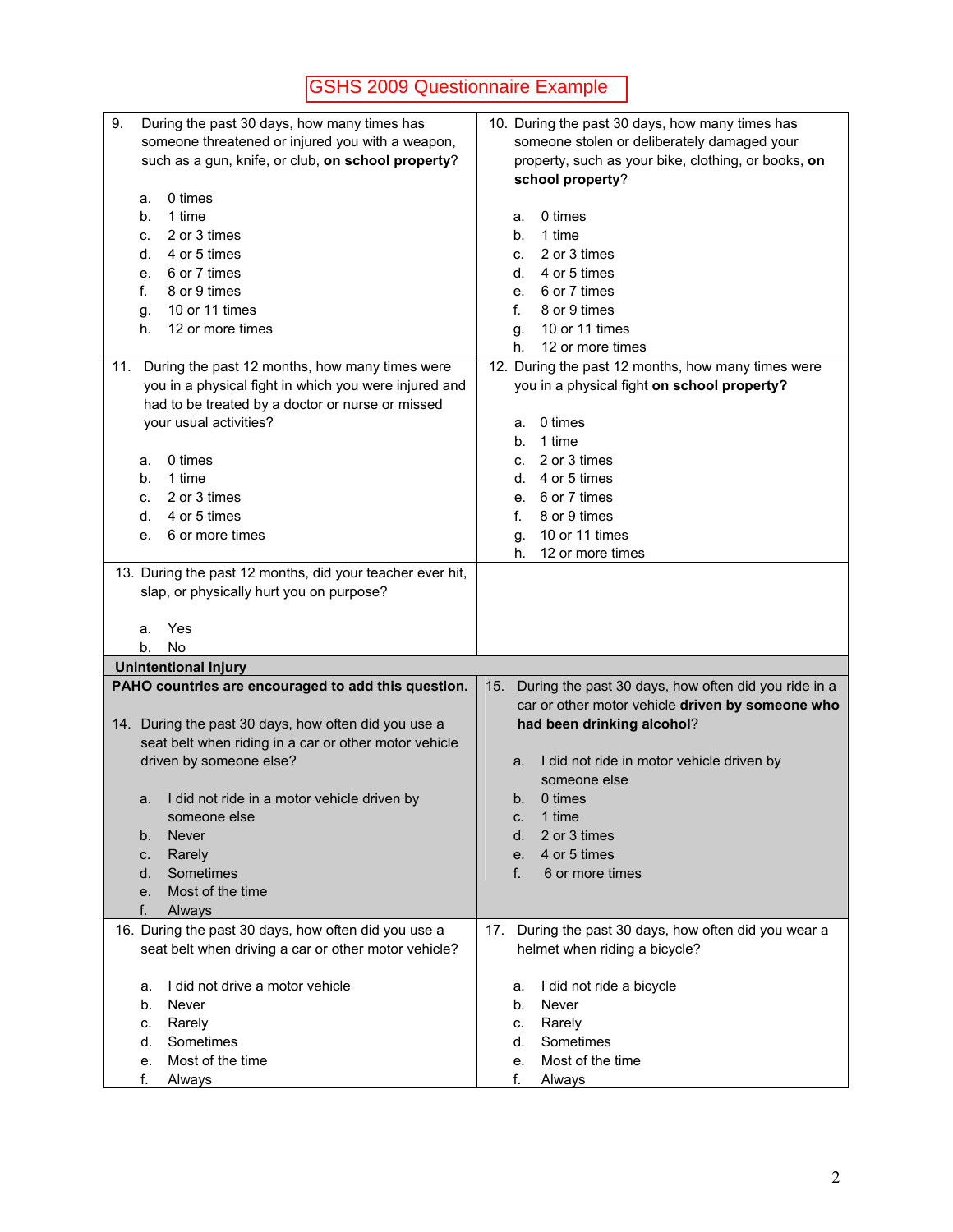| 9.<br>During the past 30 days, how many times has         | 10. During the past 30 days, how many times has             |
|-----------------------------------------------------------|-------------------------------------------------------------|
| someone threatened or injured you with a weapon,          | someone stolen or deliberately damaged your                 |
| such as a gun, knife, or club, on school property?        | property, such as your bike, clothing, or books, on         |
|                                                           | school property?                                            |
| 0 times<br>a.                                             |                                                             |
| 1 time<br>b.                                              | 0 times<br>a.                                               |
| 2 or 3 times<br>c.                                        | 1 time<br>b.                                                |
| 4 or 5 times<br>d.                                        | 2 or 3 times<br>C.                                          |
| 6 or 7 times<br>е.                                        | 4 or 5 times<br>d.                                          |
| 8 or 9 times<br>f.                                        | 6 or 7 times<br>е.                                          |
| 10 or 11 times<br>g.                                      | 8 or 9 times<br>f.                                          |
| 12 or more times<br>h.                                    | 10 or 11 times<br>g.                                        |
|                                                           | 12 or more times<br>h.                                      |
| During the past 12 months, how many times were<br>11.     | 12. During the past 12 months, how many times were          |
| you in a physical fight in which you were injured and     | you in a physical fight on school property?                 |
| had to be treated by a doctor or nurse or missed          |                                                             |
| your usual activities?                                    | 0 times<br>a.                                               |
|                                                           | 1 time<br>b.                                                |
| 0 times<br>а.                                             | 2 or 3 times<br>c.                                          |
| 1 time<br>b.                                              | 4 or 5 times<br>d.                                          |
| 2 or 3 times<br>C.                                        | 6 or 7 times<br>е.                                          |
| 4 or 5 times<br>d.                                        | f.<br>8 or 9 times                                          |
| 6 or more times<br>е.                                     | 10 or 11 times<br>g.                                        |
|                                                           | 12 or more times<br>h.                                      |
| 13. During the past 12 months, did your teacher ever hit, |                                                             |
| slap, or physically hurt you on purpose?                  |                                                             |
|                                                           |                                                             |
| Yes<br>a.                                                 |                                                             |
| <b>No</b><br>b.                                           |                                                             |
| <b>Unintentional Injury</b>                               |                                                             |
| PAHO countries are encouraged to add this question.       | During the past 30 days, how often did you ride in a<br>15. |
|                                                           | car or other motor vehicle driven by someone who            |
| 14. During the past 30 days, how often did you use a      | had been drinking alcohol?                                  |
| seat belt when riding in a car or other motor vehicle     |                                                             |
|                                                           |                                                             |
|                                                           |                                                             |
| driven by someone else?                                   | I did not ride in motor vehicle driven by<br>a.             |
|                                                           | someone else                                                |
| I did not ride in a motor vehicle driven by<br>a.         | 0 times<br>b.                                               |
| someone else                                              | 1 time<br>C.                                                |
| <b>Never</b><br>b.                                        | 2 or 3 times<br>d.                                          |
| Rarely<br>C.                                              | 4 or 5 times<br>e.                                          |
| Sometimes<br>d.                                           | f.<br>6 or more times                                       |
| Most of the time<br>е.                                    |                                                             |
| f.<br>Always                                              |                                                             |
| 16. During the past 30 days, how often did you use a      | During the past 30 days, how often did you wear a<br>17.    |
| seat belt when driving a car or other motor vehicle?      | helmet when riding a bicycle?                               |
|                                                           |                                                             |
| I did not drive a motor vehicle<br>a.                     | I did not ride a bicycle<br>a.                              |
| Never<br>b.                                               | Never<br>b.                                                 |
| Rarely<br>c.                                              | Rarely<br>C.                                                |
| Sometimes<br>d.                                           | Sometimes<br>d.                                             |
| Most of the time<br>е.<br>f.<br>Always                    | Most of the time<br>е.<br>f.<br>Always                      |